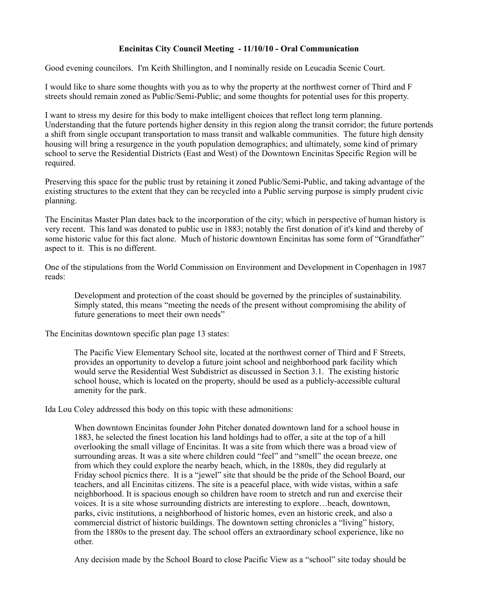## **Encinitas City Council Meeting - 11/10/10 - Oral Communication**

Good evening councilors. I'm Keith Shillington, and I nominally reside on Leucadia Scenic Court.

I would like to share some thoughts with you as to why the property at the northwest corner of Third and F streets should remain zoned as Public/Semi-Public; and some thoughts for potential uses for this property.

I want to stress my desire for this body to make intelligent choices that reflect long term planning. Understanding that the future portends higher density in this region along the transit corridor; the future portends a shift from single occupant transportation to mass transit and walkable communities. The future high density housing will bring a resurgence in the youth population demographics; and ultimately, some kind of primary school to serve the Residential Districts (East and West) of the Downtown Encinitas Specific Region will be required.

Preserving this space for the public trust by retaining it zoned Public/Semi-Public, and taking advantage of the existing structures to the extent that they can be recycled into a Public serving purpose is simply prudent civic planning.

The Encinitas Master Plan dates back to the incorporation of the city; which in perspective of human history is very recent. This land was donated to public use in 1883; notably the first donation of it's kind and thereby of some historic value for this fact alone. Much of historic downtown Encinitas has some form of "Grandfather" aspect to it. This is no different.

One of the stipulations from the World Commission on Environment and Development in Copenhagen in 1987 reads:

Development and protection of the coast should be governed by the principles of sustainability. Simply stated, this means "meeting the needs of the present without compromising the ability of future generations to meet their own needs"

The Encinitas downtown specific plan page 13 states:

The Pacific View Elementary School site, located at the northwest corner of Third and F Streets, provides an opportunity to develop a future joint school and neighborhood park facility which would serve the Residential West Subdistrict as discussed in Section 3.1. The existing historic school house, which is located on the property, should be used as a publicly-accessible cultural amenity for the park.

Ida Lou Coley addressed this body on this topic with these admonitions:

When downtown Encinitas founder John Pitcher donated downtown land for a school house in 1883, he selected the finest location his land holdings had to offer, a site at the top of a hill overlooking the small village of Encinitas. It was a site from which there was a broad view of surrounding areas. It was a site where children could "feel" and "smell" the ocean breeze, one from which they could explore the nearby beach, which, in the 1880s, they did regularly at Friday school picnics there. It is a "jewel" site that should be the pride of the School Board, our teachers, and all Encinitas citizens. The site is a peaceful place, with wide vistas, within a safe neighborhood. It is spacious enough so children have room to stretch and run and exercise their voices. It is a site whose surrounding districts are interesting to explore…beach, downtown, parks, civic institutions, a neighborhood of historic homes, even an historic creek, and also a commercial district of historic buildings. The downtown setting chronicles a "living" history, from the 1880s to the present day. The school offers an extraordinary school experience, like no other.

Any decision made by the School Board to close Pacific View as a "school" site today should be